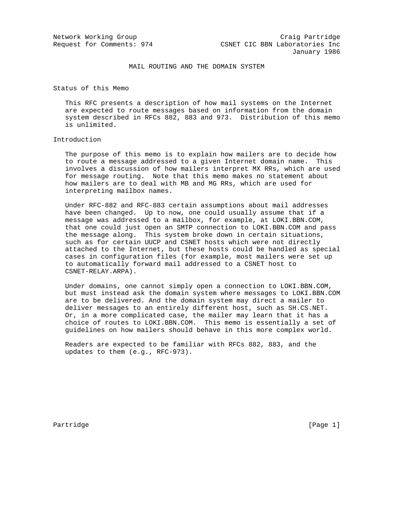# MAIL ROUTING AND THE DOMAIN SYSTEM

Status of this Memo

 This RFC presents a description of how mail systems on the Internet are expected to route messages based on information from the domain system described in RFCs 882, 883 and 973. Distribution of this memo is unlimited.

## Introduction

 The purpose of this memo is to explain how mailers are to decide how to route a message addressed to a given Internet domain name. This involves a discussion of how mailers interpret MX RRs, which are used for message routing. Note that this memo makes no statement about how mailers are to deal with MB and MG RRs, which are used for interpreting mailbox names.

 Under RFC-882 and RFC-883 certain assumptions about mail addresses have been changed. Up to now, one could usually assume that if a message was addressed to a mailbox, for example, at LOKI.BBN.COM, that one could just open an SMTP connection to LOKI.BBN.COM and pass the message along. This system broke down in certain situations, such as for certain UUCP and CSNET hosts which were not directly attached to the Internet, but these hosts could be handled as special cases in configuration files (for example, most mailers were set up to automatically forward mail addressed to a CSNET host to CSNET-RELAY.ARPA).

 Under domains, one cannot simply open a connection to LOKI.BBN.COM, but must instead ask the domain system where messages to LOKI.BBN.COM are to be delivered. And the domain system may direct a mailer to deliver messages to an entirely different host, such as SH.CS.NET. Or, in a more complicated case, the mailer may learn that it has a choice of routes to LOKI.BBN.COM. This memo is essentially a set of guidelines on how mailers should behave in this more complex world.

 Readers are expected to be familiar with RFCs 882, 883, and the updates to them (e.g., RFC-973).

Partridge [Page 1]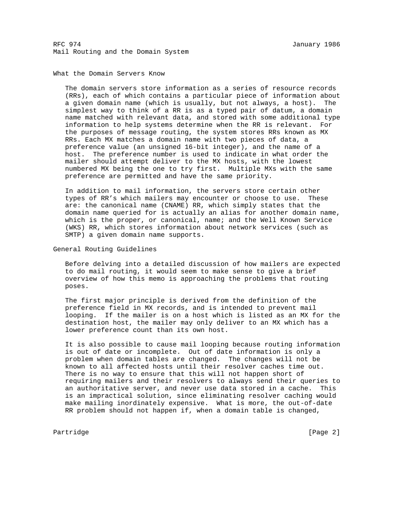### What the Domain Servers Know

 The domain servers store information as a series of resource records (RRs), each of which contains a particular piece of information about a given domain name (which is usually, but not always, a host). The simplest way to think of a RR is as a typed pair of datum, a domain name matched with relevant data, and stored with some additional type information to help systems determine when the RR is relevant. For the purposes of message routing, the system stores RRs known as MX RRs. Each MX matches a domain name with two pieces of data, a preference value (an unsigned 16-bit integer), and the name of a host. The preference number is used to indicate in what order the mailer should attempt deliver to the MX hosts, with the lowest numbered MX being the one to try first. Multiple MXs with the same preference are permitted and have the same priority.

 In addition to mail information, the servers store certain other types of RR's which mailers may encounter or choose to use. These are: the canonical name (CNAME) RR, which simply states that the domain name queried for is actually an alias for another domain name, which is the proper, or canonical, name; and the Well Known Service (WKS) RR, which stores information about network services (such as SMTP) a given domain name supports.

General Routing Guidelines

 Before delving into a detailed discussion of how mailers are expected to do mail routing, it would seem to make sense to give a brief overview of how this memo is approaching the problems that routing poses.

 The first major principle is derived from the definition of the preference field in MX records, and is intended to prevent mail looping. If the mailer is on a host which is listed as an MX for the destination host, the mailer may only deliver to an MX which has a lower preference count than its own host.

 It is also possible to cause mail looping because routing information is out of date or incomplete. Out of date information is only a problem when domain tables are changed. The changes will not be known to all affected hosts until their resolver caches time out. There is no way to ensure that this will not happen short of requiring mailers and their resolvers to always send their queries to an authoritative server, and never use data stored in a cache. This is an impractical solution, since eliminating resolver caching would make mailing inordinately expensive. What is more, the out-of-date RR problem should not happen if, when a domain table is changed,

Partridge [Page 2]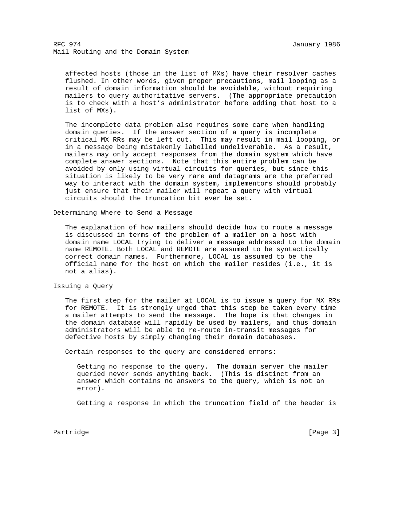affected hosts (those in the list of MXs) have their resolver caches flushed. In other words, given proper precautions, mail looping as a result of domain information should be avoidable, without requiring mailers to query authoritative servers. (The appropriate precaution is to check with a host's administrator before adding that host to a list of MXs).

 The incomplete data problem also requires some care when handling domain queries. If the answer section of a query is incomplete critical MX RRs may be left out. This may result in mail looping, or in a message being mistakenly labelled undeliverable. As a result, mailers may only accept responses from the domain system which have complete answer sections. Note that this entire problem can be avoided by only using virtual circuits for queries, but since this situation is likely to be very rare and datagrams are the preferred way to interact with the domain system, implementors should probably just ensure that their mailer will repeat a query with virtual circuits should the truncation bit ever be set.

Determining Where to Send a Message

 The explanation of how mailers should decide how to route a message is discussed in terms of the problem of a mailer on a host with domain name LOCAL trying to deliver a message addressed to the domain name REMOTE. Both LOCAL and REMOTE are assumed to be syntactically correct domain names. Furthermore, LOCAL is assumed to be the official name for the host on which the mailer resides (i.e., it is not a alias).

Issuing a Query

 The first step for the mailer at LOCAL is to issue a query for MX RRs for REMOTE. It is strongly urged that this step be taken every time a mailer attempts to send the message. The hope is that changes in the domain database will rapidly be used by mailers, and thus domain administrators will be able to re-route in-transit messages for defective hosts by simply changing their domain databases.

Certain responses to the query are considered errors:

 Getting no response to the query. The domain server the mailer queried never sends anything back. (This is distinct from an answer which contains no answers to the query, which is not an error).

Getting a response in which the truncation field of the header is

Partridge [Page 3]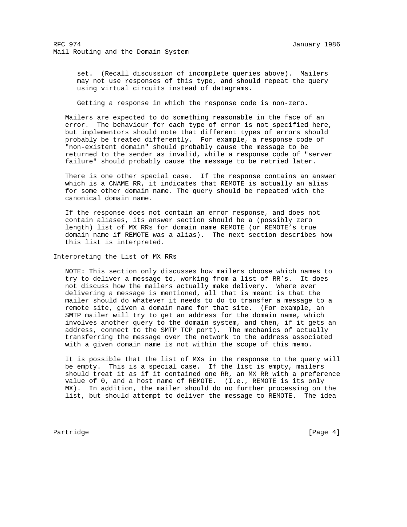set. (Recall discussion of incomplete queries above). Mailers may not use responses of this type, and should repeat the query using virtual circuits instead of datagrams.

Getting a response in which the response code is non-zero.

 Mailers are expected to do something reasonable in the face of an error. The behaviour for each type of error is not specified here, but implementors should note that different types of errors should probably be treated differently. For example, a response code of "non-existent domain" should probably cause the message to be returned to the sender as invalid, while a response code of "server failure" should probably cause the message to be retried later.

 There is one other special case. If the response contains an answer which is a CNAME RR, it indicates that REMOTE is actually an alias for some other domain name. The query should be repeated with the canonical domain name.

 If the response does not contain an error response, and does not contain aliases, its answer section should be a (possibly zero length) list of MX RRs for domain name REMOTE (or REMOTE's true domain name if REMOTE was a alias). The next section describes how this list is interpreted.

Interpreting the List of MX RRs

 NOTE: This section only discusses how mailers choose which names to try to deliver a message to, working from a list of RR's. It does not discuss how the mailers actually make delivery. Where ever delivering a message is mentioned, all that is meant is that the mailer should do whatever it needs to do to transfer a message to a remote site, given a domain name for that site. (For example, an SMTP mailer will try to get an address for the domain name, which involves another query to the domain system, and then, if it gets an address, connect to the SMTP TCP port). The mechanics of actually transferring the message over the network to the address associated with a given domain name is not within the scope of this memo.

 It is possible that the list of MXs in the response to the query will be empty. This is a special case. If the list is empty, mailers should treat it as if it contained one RR, an MX RR with a preference value of 0, and a host name of REMOTE. (I.e., REMOTE is its only MX). In addition, the mailer should do no further processing on the list, but should attempt to deliver the message to REMOTE. The idea

Partridge [Page 4]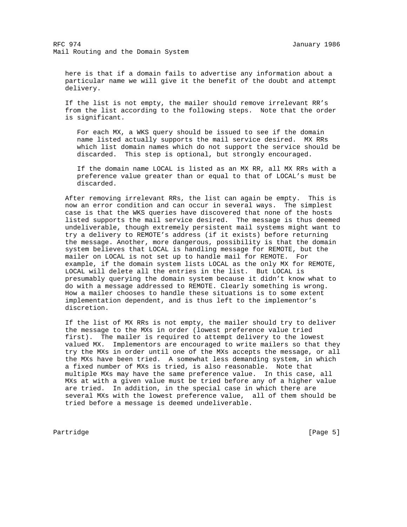here is that if a domain fails to advertise any information about a particular name we will give it the benefit of the doubt and attempt delivery.

 If the list is not empty, the mailer should remove irrelevant RR's from the list according to the following steps. Note that the order is significant.

 For each MX, a WKS query should be issued to see if the domain name listed actually supports the mail service desired. MX RRs which list domain names which do not support the service should be discarded. This step is optional, but strongly encouraged.

 If the domain name LOCAL is listed as an MX RR, all MX RRs with a preference value greater than or equal to that of LOCAL's must be discarded.

 After removing irrelevant RRs, the list can again be empty. This is now an error condition and can occur in several ways. The simplest case is that the WKS queries have discovered that none of the hosts listed supports the mail service desired. The message is thus deemed undeliverable, though extremely persistent mail systems might want to try a delivery to REMOTE's address (if it exists) before returning the message. Another, more dangerous, possibility is that the domain system believes that LOCAL is handling message for REMOTE, but the mailer on LOCAL is not set up to handle mail for REMOTE. For example, if the domain system lists LOCAL as the only MX for REMOTE, LOCAL will delete all the entries in the list. But LOCAL is presumably querying the domain system because it didn't know what to do with a message addressed to REMOTE. Clearly something is wrong. How a mailer chooses to handle these situations is to some extent implementation dependent, and is thus left to the implementor's discretion.

 If the list of MX RRs is not empty, the mailer should try to deliver the message to the MXs in order (lowest preference value tried first). The mailer is required to attempt delivery to the lowest valued MX. Implementors are encouraged to write mailers so that they try the MXs in order until one of the MXs accepts the message, or all the MXs have been tried. A somewhat less demanding system, in which a fixed number of MXs is tried, is also reasonable. Note that multiple MXs may have the same preference value. In this case, all MXs at with a given value must be tried before any of a higher value are tried. In addition, in the special case in which there are several MXs with the lowest preference value, all of them should be tried before a message is deemed undeliverable.

Partridge [Page 5]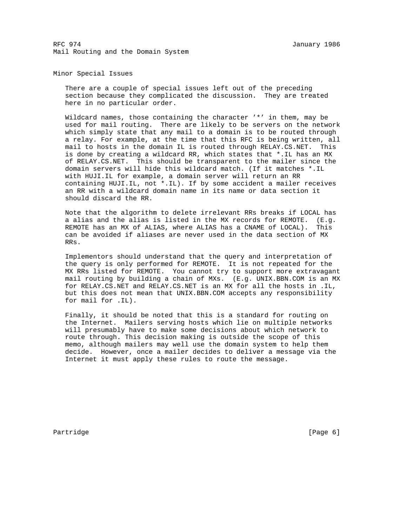### Minor Special Issues

 There are a couple of special issues left out of the preceding section because they complicated the discussion. They are treated here in no particular order.

 Wildcard names, those containing the character '\*' in them, may be used for mail routing. There are likely to be servers on the network which simply state that any mail to a domain is to be routed through a relay. For example, at the time that this RFC is being written, all mail to hosts in the domain IL is routed through RELAY.CS.NET. This is done by creating a wildcard RR, which states that \*.IL has an MX of RELAY.CS.NET. This should be transparent to the mailer since the domain servers will hide this wildcard match. (If it matches \*.IL with HUJI.IL for example, a domain server will return an RR containing HUJI.IL, not \*.IL). If by some accident a mailer receives an RR with a wildcard domain name in its name or data section it should discard the RR.

 Note that the algorithm to delete irrelevant RRs breaks if LOCAL has a alias and the alias is listed in the MX records for REMOTE. (E.g. REMOTE has an MX of ALIAS, where ALIAS has a CNAME of LOCAL). This can be avoided if aliases are never used in the data section of MX RRs.

 Implementors should understand that the query and interpretation of the query is only performed for REMOTE. It is not repeated for the MX RRs listed for REMOTE. You cannot try to support more extravagant mail routing by building a chain of MXs. (E.g. UNIX.BBN.COM is an MX for RELAY.CS.NET and RELAY.CS.NET is an MX for all the hosts in .IL, but this does not mean that UNIX.BBN.COM accepts any responsibility for mail for .IL).

 Finally, it should be noted that this is a standard for routing on the Internet. Mailers serving hosts which lie on multiple networks will presumably have to make some decisions about which network to route through. This decision making is outside the scope of this memo, although mailers may well use the domain system to help them decide. However, once a mailer decides to deliver a message via the Internet it must apply these rules to route the message.

Partridge [Page 6]